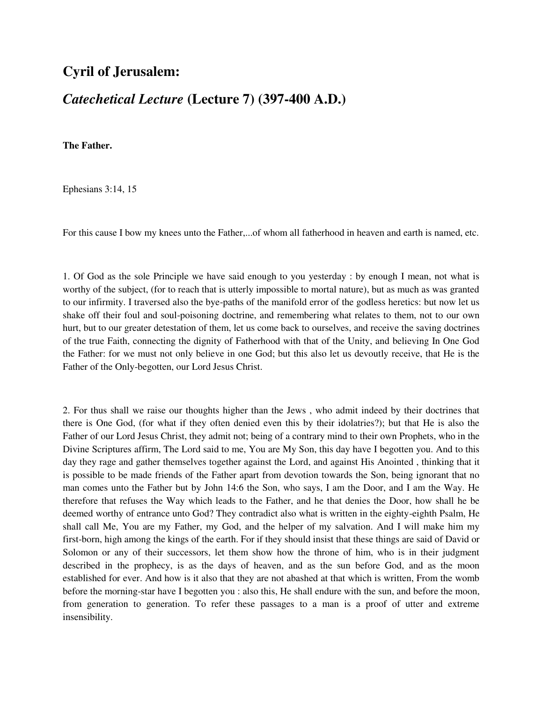## **Cyril of Jerusalem:**

## *Catechetical Lecture* **(Lecture 7) (397-400 A.D.)**

**The Father.**

Ephesians 3:14, 15

For this cause I bow my knees unto the Father,...of whom all fatherhood in heaven and earth is named, etc.

1. Of God as the sole Principle we have said enough to you yesterday : by enough I mean, not what is worthy of the subject, (for to reach that is utterly impossible to mortal nature), but as much as was granted to our infirmity. I traversed also the bye-paths of the manifold error of the godless heretics: but now let us shake off their foul and soul-poisoning doctrine, and remembering what relates to them, not to our own hurt, but to our greater detestation of them, let us come back to ourselves, and receive the saving doctrines of the true Faith, connecting the dignity of Fatherhood with that of the Unity, and believing In One God the Father: for we must not only believe in one God; but this also let us devoutly receive, that He is the Father of the Only-begotten, our Lord Jesus Christ.

2. For thus shall we raise our thoughts higher than the Jews , who admit indeed by their doctrines that there is One God, (for what if they often denied even this by their idolatries?); but that He is also the Father of our Lord Jesus Christ, they admit not; being of a contrary mind to their own Prophets, who in the Divine Scriptures affirm, The Lord said to me, You are My Son, this day have I begotten you. And to this day they rage and gather themselves together against the Lord, and against His Anointed , thinking that it is possible to be made friends of the Father apart from devotion towards the Son, being ignorant that no man comes unto the Father but by John 14:6 the Son, who says, I am the Door, and I am the Way. He therefore that refuses the Way which leads to the Father, and he that denies the Door, how shall he be deemed worthy of entrance unto God? They contradict also what is written in the eighty-eighth Psalm, He shall call Me, You are my Father, my God, and the helper of my salvation. And I will make him my first-born, high among the kings of the earth. For if they should insist that these things are said of David or Solomon or any of their successors, let them show how the throne of him, who is in their judgment described in the prophecy, is as the days of heaven, and as the sun before God, and as the moon established for ever. And how is it also that they are not abashed at that which is written, From the womb before the morning-star have I begotten you : also this, He shall endure with the sun, and before the moon, from generation to generation. To refer these passages to a man is a proof of utter and extreme insensibility.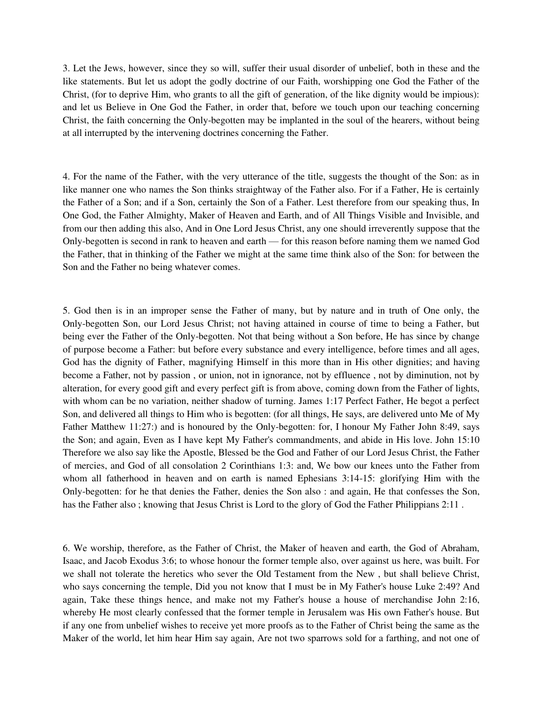3. Let the Jews, however, since they so will, suffer their usual disorder of unbelief, both in these and the like statements. But let us adopt the godly doctrine of our Faith, worshipping one God the Father of the Christ, (for to deprive Him, who grants to all the gift of generation, of the like dignity would be impious): and let us Believe in One God the Father, in order that, before we touch upon our teaching concerning Christ, the faith concerning the Only-begotten may be implanted in the soul of the hearers, without being at all interrupted by the intervening doctrines concerning the Father.

4. For the name of the Father, with the very utterance of the title, suggests the thought of the Son: as in like manner one who names the Son thinks straightway of the Father also. For if a Father, He is certainly the Father of a Son; and if a Son, certainly the Son of a Father. Lest therefore from our speaking thus, In One God, the Father Almighty, Maker of Heaven and Earth, and of All Things Visible and Invisible, and from our then adding this also, And in One Lord Jesus Christ, any one should irreverently suppose that the Only-begotten is second in rank to heaven and earth — for this reason before naming them we named God the Father, that in thinking of the Father we might at the same time think also of the Son: for between the Son and the Father no being whatever comes.

5. God then is in an improper sense the Father of many, but by nature and in truth of One only, the Only-begotten Son, our Lord Jesus Christ; not having attained in course of time to being a Father, but being ever the Father of the Only-begotten. Not that being without a Son before, He has since by change of purpose become a Father: but before every substance and every intelligence, before times and all ages, God has the dignity of Father, magnifying Himself in this more than in His other dignities; and having become a Father, not by passion , or union, not in ignorance, not by effluence , not by diminution, not by alteration, for every good gift and every perfect gift is from above, coming down from the Father of lights, with whom can be no variation, neither shadow of turning. James 1:17 Perfect Father, He begot a perfect Son, and delivered all things to Him who is begotten: (for all things, He says, are delivered unto Me of My Father Matthew 11:27:) and is honoured by the Only-begotten: for, I honour My Father John 8:49, says the Son; and again, Even as I have kept My Father's commandments, and abide in His love. John 15:10 Therefore we also say like the Apostle, Blessed be the God and Father of our Lord Jesus Christ, the Father of mercies, and God of all consolation 2 Corinthians 1:3: and, We bow our knees unto the Father from whom all fatherhood in heaven and on earth is named Ephesians 3:14-15: glorifying Him with the Only-begotten: for he that denies the Father, denies the Son also : and again, He that confesses the Son, has the Father also; knowing that Jesus Christ is Lord to the glory of God the Father Philippians 2:11.

6. We worship, therefore, as the Father of Christ, the Maker of heaven and earth, the God of Abraham, Isaac, and Jacob Exodus 3:6; to whose honour the former temple also, over against us here, was built. For we shall not tolerate the heretics who sever the Old Testament from the New , but shall believe Christ, who says concerning the temple, Did you not know that I must be in My Father's house Luke 2:49? And again, Take these things hence, and make not my Father's house a house of merchandise John 2:16, whereby He most clearly confessed that the former temple in Jerusalem was His own Father's house. But if any one from unbelief wishes to receive yet more proofs as to the Father of Christ being the same as the Maker of the world, let him hear Him say again, Are not two sparrows sold for a farthing, and not one of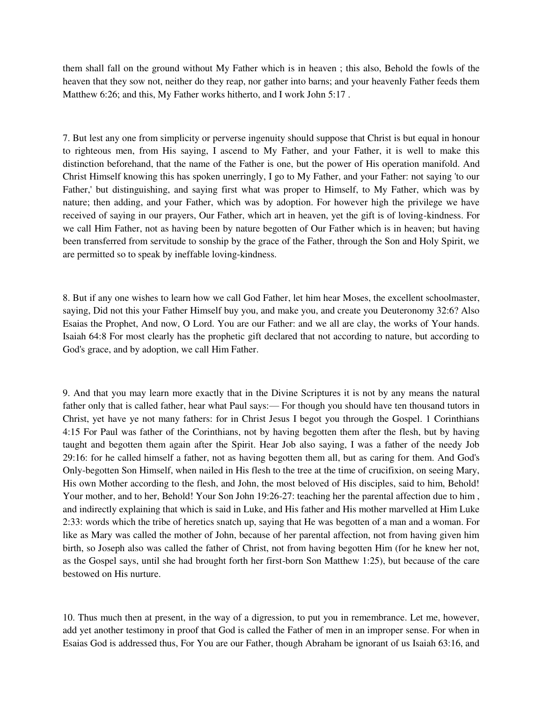them shall fall on the ground without My Father which is in heaven ; this also, Behold the fowls of the heaven that they sow not, neither do they reap, nor gather into barns; and your heavenly Father feeds them Matthew 6:26; and this, My Father works hitherto, and I work John 5:17 .

7. But lest any one from simplicity or perverse ingenuity should suppose that Christ is but equal in honour to righteous men, from His saying, I ascend to My Father, and your Father, it is well to make this distinction beforehand, that the name of the Father is one, but the power of His operation manifold. And Christ Himself knowing this has spoken unerringly, I go to My Father, and your Father: not saying 'to our Father,' but distinguishing, and saying first what was proper to Himself, to My Father, which was by nature; then adding, and your Father, which was by adoption. For however high the privilege we have received of saying in our prayers, Our Father, which art in heaven, yet the gift is of loving-kindness. For we call Him Father, not as having been by nature begotten of Our Father which is in heaven; but having been transferred from servitude to sonship by the grace of the Father, through the Son and Holy Spirit, we are permitted so to speak by ineffable loving-kindness.

8. But if any one wishes to learn how we call God Father, let him hear Moses, the excellent schoolmaster, saying, Did not this your Father Himself buy you, and make you, and create you Deuteronomy 32:6? Also Esaias the Prophet, And now, O Lord. You are our Father: and we all are clay, the works of Your hands. Isaiah 64:8 For most clearly has the prophetic gift declared that not according to nature, but according to God's grace, and by adoption, we call Him Father.

9. And that you may learn more exactly that in the Divine Scriptures it is not by any means the natural father only that is called father, hear what Paul says:— For though you should have ten thousand tutors in Christ, yet have ye not many fathers: for in Christ Jesus I begot you through the Gospel. 1 Corinthians 4:15 For Paul was father of the Corinthians, not by having begotten them after the flesh, but by having taught and begotten them again after the Spirit. Hear Job also saying, I was a father of the needy Job 29:16: for he called himself a father, not as having begotten them all, but as caring for them. And God's Only-begotten Son Himself, when nailed in His flesh to the tree at the time of crucifixion, on seeing Mary, His own Mother according to the flesh, and John, the most beloved of His disciples, said to him, Behold! Your mother, and to her, Behold! Your Son John 19:26-27: teaching her the parental affection due to him , and indirectly explaining that which is said in Luke, and His father and His mother marvelled at Him Luke 2:33: words which the tribe of heretics snatch up, saying that He was begotten of a man and a woman. For like as Mary was called the mother of John, because of her parental affection, not from having given him birth, so Joseph also was called the father of Christ, not from having begotten Him (for he knew her not, as the Gospel says, until she had brought forth her first-born Son Matthew 1:25), but because of the care bestowed on His nurture.

10. Thus much then at present, in the way of a digression, to put you in remembrance. Let me, however, add yet another testimony in proof that God is called the Father of men in an improper sense. For when in Esaias God is addressed thus, For You are our Father, though Abraham be ignorant of us Isaiah 63:16, and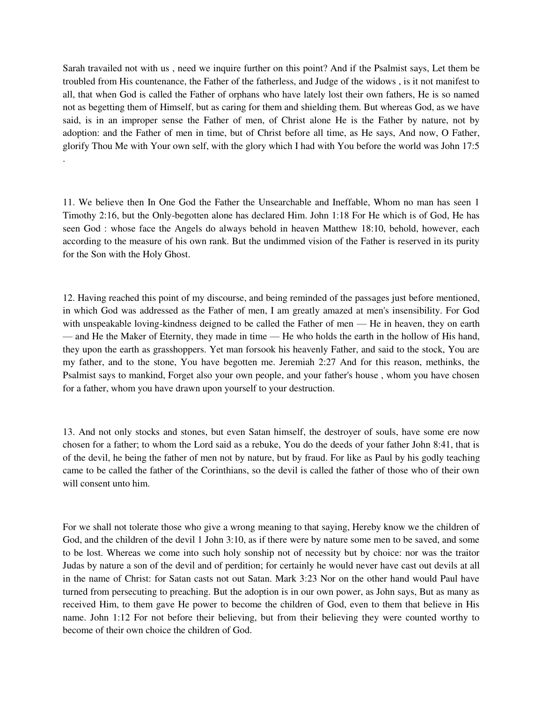Sarah travailed not with us , need we inquire further on this point? And if the Psalmist says, Let them be troubled from His countenance, the Father of the fatherless, and Judge of the widows , is it not manifest to all, that when God is called the Father of orphans who have lately lost their own fathers, He is so named not as begetting them of Himself, but as caring for them and shielding them. But whereas God, as we have said, is in an improper sense the Father of men, of Christ alone He is the Father by nature, not by adoption: and the Father of men in time, but of Christ before all time, as He says, And now, O Father, glorify Thou Me with Your own self, with the glory which I had with You before the world was John 17:5 .

11. We believe then In One God the Father the Unsearchable and Ineffable, Whom no man has seen 1 Timothy 2:16, but the Only-begotten alone has declared Him. John 1:18 For He which is of God, He has seen God : whose face the Angels do always behold in heaven Matthew 18:10, behold, however, each according to the measure of his own rank. But the undimmed vision of the Father is reserved in its purity for the Son with the Holy Ghost.

12. Having reached this point of my discourse, and being reminded of the passages just before mentioned, in which God was addressed as the Father of men, I am greatly amazed at men's insensibility. For God with unspeakable loving-kindness deigned to be called the Father of men — He in heaven, they on earth — and He the Maker of Eternity, they made in time — He who holds the earth in the hollow of His hand, they upon the earth as grasshoppers. Yet man forsook his heavenly Father, and said to the stock, You are my father, and to the stone, You have begotten me. Jeremiah 2:27 And for this reason, methinks, the Psalmist says to mankind, Forget also your own people, and your father's house , whom you have chosen for a father, whom you have drawn upon yourself to your destruction.

13. And not only stocks and stones, but even Satan himself, the destroyer of souls, have some ere now chosen for a father; to whom the Lord said as a rebuke, You do the deeds of your father John 8:41, that is of the devil, he being the father of men not by nature, but by fraud. For like as Paul by his godly teaching came to be called the father of the Corinthians, so the devil is called the father of those who of their own will consent unto him.

For we shall not tolerate those who give a wrong meaning to that saying, Hereby know we the children of God, and the children of the devil 1 John 3:10, as if there were by nature some men to be saved, and some to be lost. Whereas we come into such holy sonship not of necessity but by choice: nor was the traitor Judas by nature a son of the devil and of perdition; for certainly he would never have cast out devils at all in the name of Christ: for Satan casts not out Satan. Mark 3:23 Nor on the other hand would Paul have turned from persecuting to preaching. But the adoption is in our own power, as John says, But as many as received Him, to them gave He power to become the children of God, even to them that believe in His name. John 1:12 For not before their believing, but from their believing they were counted worthy to become of their own choice the children of God.